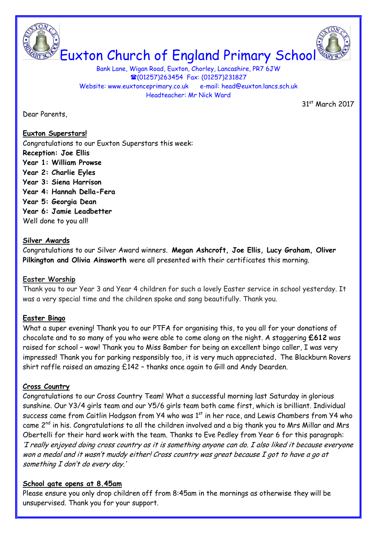



Bank Lane, Wigan Road, Euxton, Chorley, Lancashire, PR7 6JW (01257)263454 Fax: (01257)231827 Website: www.euxtonceprimary.co.uk e-mail: [head@euxton.lancs.sch.uk](mailto:head@euxton.lancs.sch.uk) Headteacher: Mr Nick Ward

Dear Parents,

31st March 2017

# **Euxton Superstars!**

Congratulations to our Euxton Superstars this week: **Reception: Joe Ellis Year 1: William Prowse Year 2: Charlie Eyles Year 3: Siena Harrison Year 4: Hannah Della-Fera Year 5: Georgia Dean Year 6: Jamie Leadbetter** Well done to you all!

# **Silver Awards**

Congratulations to our Silver Award winners. **Megan Ashcroft, Joe Ellis, Lucy Graham, Oliver Pilkington and Olivia Ainsworth** were all presented with their certificates this morning.

# **Easter Worship**

Thank you to our Year 3 and Year 4 children for such a lovely Easter service in school yesterday. It was a very special time and the children spoke and sang beautifully. Thank you.

# **Easter Bingo**

What a super evening! Thank you to our PTFA for organising this, to you all for your donations of chocolate and to so many of you who were able to come along on the night. A staggering **£612** was raised for school – wow! Thank you to Miss Bamber for being an excellent bingo caller, I was very impressed! Thank you for parking responsibly too, it is very much appreciated**.** The Blackburn Rovers shirt raffle raised an amazing £142 – thanks once again to Gill and Andy Dearden.

# **Cross Country**

Congratulations to our Cross Country Team! What a successful morning last Saturday in glorious sunshine. Our Y3/4 girls team and our Y5/6 girls team both came first, which is brilliant. Individual success came from Caitlin Hodgson from  $Y4$  who was  $1<sup>st</sup>$  in her race, and Lewis Chambers from  $Y4$  who came 2nd in his. Congratulations to all the children involved and a big thank you to Mrs Millar and Mrs Obertelli for their hard work with the team. Thanks to Eve Pedley from Year 6 for this paragraph: 'I really enjoyed doing cross country as it is something anyone can do. I also liked it because everyone won a medal and it wasn't muddy either! Cross country was great because I got to have a go at something I don't do every day.'

# **School gate opens at 8.45am**

Please ensure you only drop children off from 8:45am in the mornings as otherwise they will be unsupervised. Thank you for your support.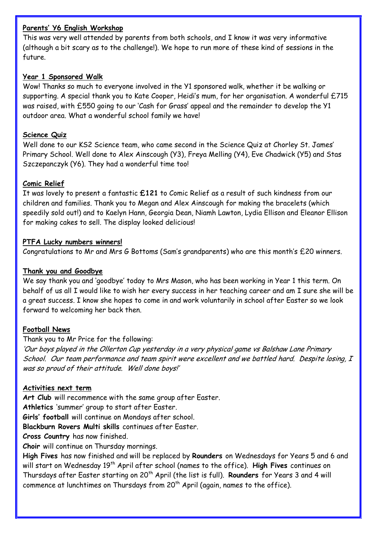### **Parents' Y6 English Workshop**

This was very well attended by parents from both schools, and I know it was very informative (although a bit scary as to the challenge!). We hope to run more of these kind of sessions in the future.

### **Year 1 Sponsored Walk**

Wow! Thanks so much to everyone involved in the Y1 sponsored walk, whether it be walking or supporting. A special thank you to Kate Cooper, Heidi's mum, for her organisation. A wonderful £715 was raised, with £550 going to our 'Cash for Grass' appeal and the remainder to develop the Y1 outdoor area. What a wonderful school family we have!

## **Science Quiz**

Well done to our KS2 Science team, who came second in the Science Quiz at Chorley St. James' Primary School. Well done to Alex Ainscough (Y3), Freya Melling (Y4), Eve Chadwick (Y5) and Stas Szczepanczyk (Y6). They had a wonderful time too!

### **Comic Relief**

It was lovely to present a fantastic **£121** to Comic Relief as a result of such kindness from our children and families. Thank you to Megan and Alex Ainscough for making the bracelets (which speedily sold out!) and to Kaelyn Hann, Georgia Dean, Niamh Lawton, Lydia Ellison and Eleanor Ellison for making cakes to sell. The display looked delicious!

### **PTFA Lucky numbers winners!**

Congratulations to Mr and Mrs G Bottoms (Sam's grandparents) who are this month's £20 winners.

### **Thank you and Goodbye**

We say thank you and 'goodbye' today to Mrs Mason, who has been working in Year 1 this term. On behalf of us all I would like to wish her every success in her teaching career and am I sure she will be a great success. I know she hopes to come in and work voluntarily in school after Easter so we look forward to welcoming her back then.

#### **Football News**

Thank you to Mr Price for the following:

'Our boys played in the Ollerton Cup yesterday in a very physical game vs Balshaw Lane Primary School. Our team performance and team spirit were excellent and we battled hard. Despite losing, I was so proud of their attitude. Well done boys!'

### **Activities next term**

**Art Club** will recommence with the same group after Easter.

**Athletics** 'summer' group to start after Easter.

**Girls' football** will continue on Mondays after school.

**Blackburn Rovers Multi skills** continues after Easter.

**Cross Country** has now finished.

**Choir** will continue on Thursday mornings.

**High Fives** has now finished and will be replaced by **Rounders** on Wednesdays for Years 5 and 6 and will start on Wednesday 19th April after school (names to the office). **High Fives** continues on Thursdays after Easter starting on 20th April (the list is full). **Rounders** for Years 3 and 4 will commence at lunchtimes on Thursdays from  $20<sup>th</sup>$  April (again, names to the office).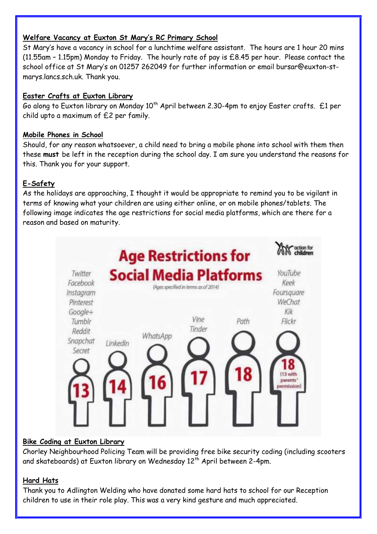# **Welfare Vacancy at Euxton St Mary's RC Primary School**

St Mary's have a vacancy in school for a lunchtime welfare assistant. The hours are 1 hour 20 mins (11.55am – 1.15pm) Monday to Friday. The hourly rate of pay is £8.45 per hour. Please contact the school office at St Mary's on 01257 262049 for further information or email [bursar@euxton-st](mailto:bursar@euxton-st-marys.lancs.sch.uk)[marys.lancs.sch.uk.](mailto:bursar@euxton-st-marys.lancs.sch.uk) Thank you.

# **Easter Crafts at Euxton Library**

Go along to Euxton library on Monday  $10^{th}$  April between 2.30-4pm to enjoy Easter crafts. £1 per child upto a maximum of £2 per family.

# **Mobile Phones in School**

Should, for any reason whatsoever, a child need to bring a mobile phone into school with them then these **must** be left in the reception during the school day. I am sure you understand the reasons for this. Thank you for your support.

# **E-Safety**

As the holidays are approaching, I thought it would be appropriate to remind you to be vigilant in terms of knowing what your children are using either online, or on mobile phones/tablets. The following image indicates the age restrictions for social media platforms, which are there for a reason and based on maturity.



# **Bike Coding at Euxton Library**

Chorley Neighbourhood Policing Team will be providing free bike security coding (including scooters and skateboards) at Euxton library on Wednesday 12<sup>th</sup> April between 2-4pm.

# **Hard Hats**

Thank you to Adlington Welding who have donated some hard hats to school for our Reception children to use in their role play. This was a very kind gesture and much appreciated.